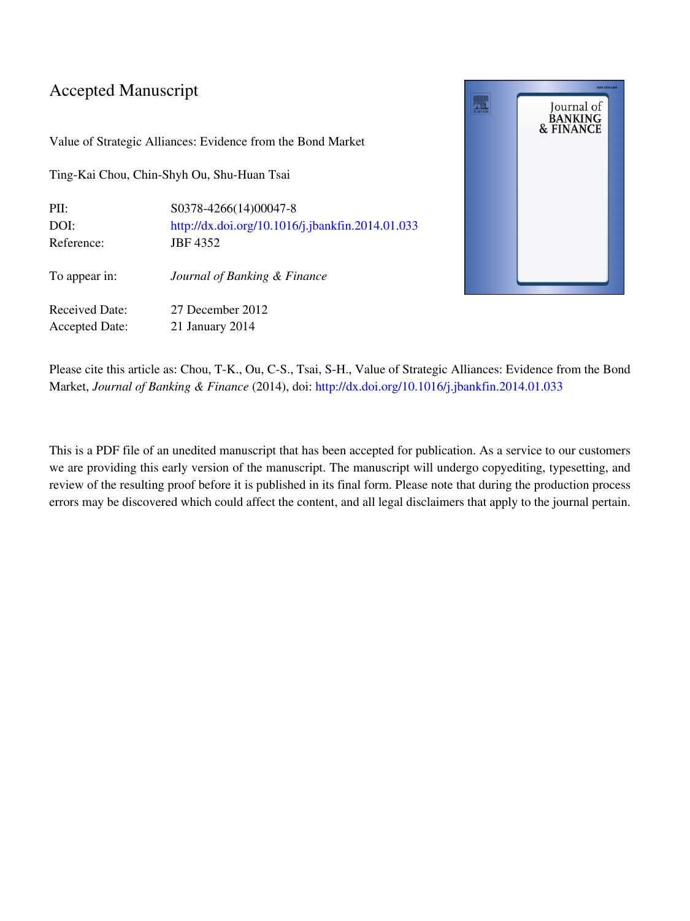### Accepted Manuscript

Value of Strategic Alliances: Evidence from the Bond Market

Ting-Kai Chou, Chin-Shyh Ou, Shu-Huan Tsai

| PII:                  | S0378-4266(14)00047-8                            |
|-----------------------|--------------------------------------------------|
| DOI:                  | http://dx.doi.org/10.1016/j.jbankfin.2014.01.033 |
| Reference:            | JBF 4352                                         |
| To appear in:         | Journal of Banking & Finance                     |
| Received Date:        | 27 December 2012                                 |
| <b>Accepted Date:</b> | 21 January 2014                                  |



Please cite this article as: Chou, T-K., Ou, C-S., Tsai, S-H., Value of Strategic Alliances: Evidence from the Bond Market, Journal of Banking & Finance (2014), doi: [http://dx.doi.org/10.1016/j.jbankfin.2014.01.033](http://dx.doi.org/http://dx.doi.org/10.1016/j.jbankfin.2014.01.033)

This is a PDF file of an unedited manuscript that has been accepted for publication. As a service to our customers we are providing this early version of the manuscript. The manuscript will undergo copyediting, typesetting, and review of the resulting proof before it is published in its final form. Please note that during the production process errors may be discovered which could affect the content, and all legal disclaimers that apply to the journal pertain.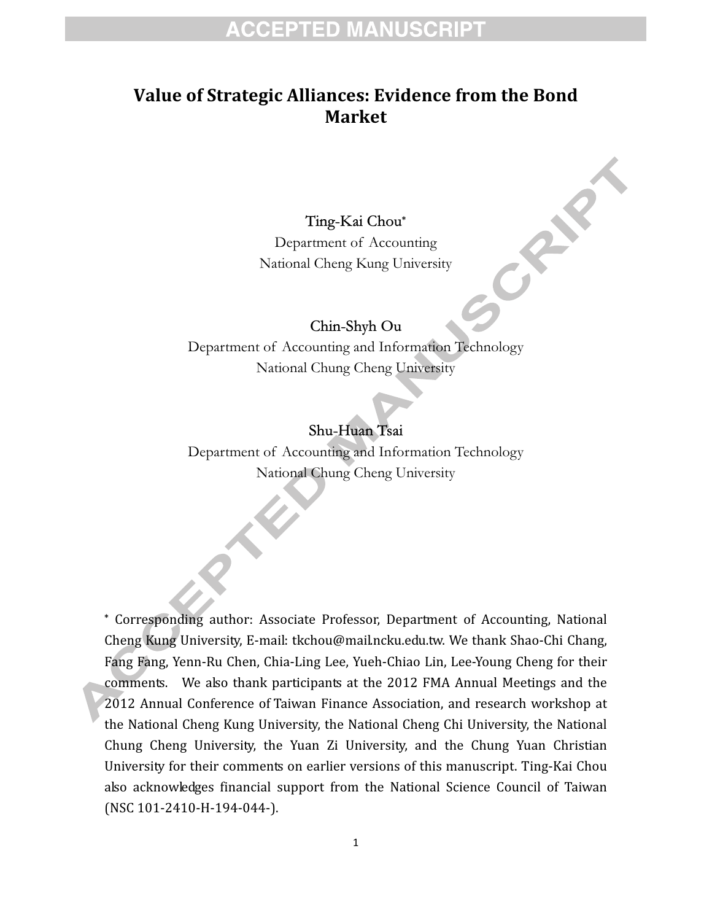## **ACCEPTED MANUSCRIPT**

### Value of Strategic Alliances: Evidence from the Bond Market

Ting-Kai Chou\* Department of Accounting National Cheng Kung University CRAN

#### Chin-Shyh Ou

Department of Accounting and Information Technology National Chung Cheng University

#### Shu-Huan Tsai

Department of Accounting and Information Technology National Chung Cheng University

 Corresponding author: Associate Professor, Department of Accounting, National Cheng Kung University, E-mail: tkchou@mail.ncku.edu.tw. We thank Shao-Chi Chang, Fang Fang, Yenn-Ru Chen, Chia-Ling Lee, Yueh-Chiao Lin, Lee-Young Cheng for their comments. We also thank participants at the 2012 FMA Annual Meetings and the 2012 Annual Conference of Taiwan Finance Association, and research workshop at the National Cheng Kung University, the National Cheng Chi University, the National Chung Cheng University, the Yuan Zi University, and the Chung Yuan Christian University for their comments on earlier versions of this manuscript. Ting-Kai Chou also acknowledges financial support from the National Science Council of Taiwan (NSC 101-2410-H-194-044-).